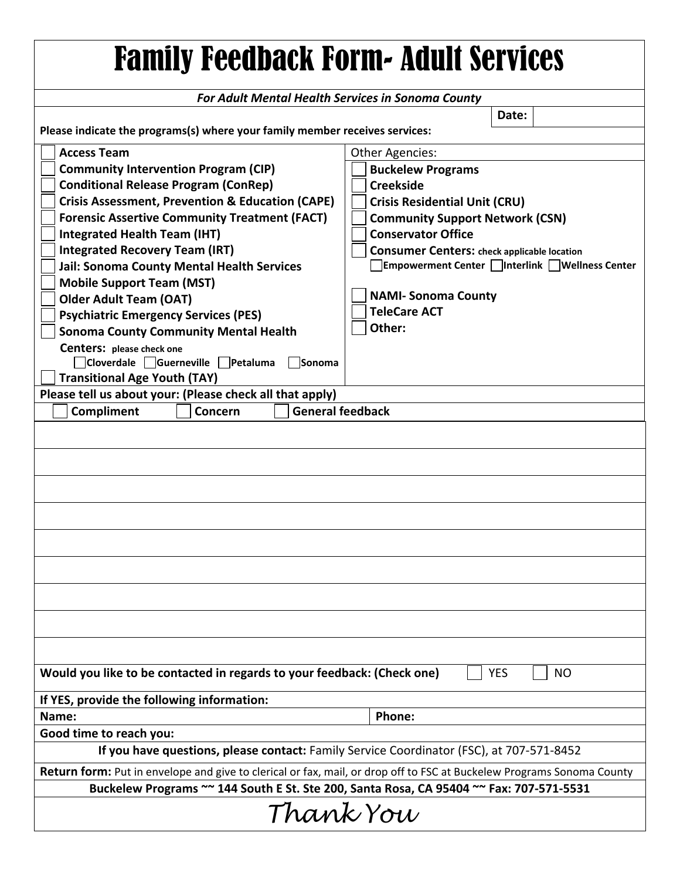| <b>Family Feedback Form- Adult Services</b>                                                                                  |                                                    |
|------------------------------------------------------------------------------------------------------------------------------|----------------------------------------------------|
| For Adult Mental Health Services in Sonoma County                                                                            |                                                    |
| Date:                                                                                                                        |                                                    |
| Please indicate the programs(s) where your family member receives services:                                                  |                                                    |
| <b>Access Team</b><br><b>Community Intervention Program (CIP)</b>                                                            | Other Agencies:<br><b>Buckelew Programs</b>        |
| <b>Conditional Release Program (ConRep)</b>                                                                                  | <b>Creekside</b>                                   |
| <b>Crisis Assessment, Prevention &amp; Education (CAPE)</b>                                                                  | <b>Crisis Residential Unit (CRU)</b>               |
| <b>Forensic Assertive Community Treatment (FACT)</b>                                                                         | <b>Community Support Network (CSN)</b>             |
| <b>Integrated Health Team (IHT)</b>                                                                                          | <b>Conservator Office</b>                          |
| <b>Integrated Recovery Team (IRT)</b>                                                                                        | <b>Consumer Centers: check applicable location</b> |
| <b>Jail: Sonoma County Mental Health Services</b>                                                                            | Empowerment Center   Interlink   Wellness Center   |
| <b>Mobile Support Team (MST)</b>                                                                                             | <b>NAMI-Sonoma County</b>                          |
| <b>Older Adult Team (OAT)</b><br><b>Psychiatric Emergency Services (PES)</b>                                                 | <b>TeleCare ACT</b>                                |
| <b>Sonoma County Community Mental Health</b>                                                                                 | Other:                                             |
| <b>Centers:</b> please check one                                                                                             |                                                    |
| □ Cloverdale □ Guerneville □ Petaluma<br>Sonoma                                                                              |                                                    |
| <b>Transitional Age Youth (TAY)</b>                                                                                          |                                                    |
| Please tell us about your: (Please check all that apply)                                                                     |                                                    |
| <b>General feedback</b><br>Compliment<br>Concern                                                                             |                                                    |
|                                                                                                                              |                                                    |
|                                                                                                                              |                                                    |
|                                                                                                                              |                                                    |
|                                                                                                                              |                                                    |
|                                                                                                                              |                                                    |
|                                                                                                                              |                                                    |
|                                                                                                                              |                                                    |
|                                                                                                                              |                                                    |
|                                                                                                                              |                                                    |
|                                                                                                                              |                                                    |
|                                                                                                                              |                                                    |
| Would you like to be contacted in regards to your feedback: (Check one)<br><b>YES</b><br>NO                                  |                                                    |
| If YES, provide the following information:                                                                                   |                                                    |
| Name:                                                                                                                        | Phone:                                             |
| Good time to reach you:                                                                                                      |                                                    |
| If you have questions, please contact: Family Service Coordinator (FSC), at 707-571-8452                                     |                                                    |
| <b>Return form:</b> Put in envelope and give to clerical or fax, mail, or drop off to FSC at Buckelew Programs Sonoma County |                                                    |
| Buckelew Programs ~~ 144 South E St. Ste 200, Santa Rosa, CA 95404 ~~ Fax: 707-571-5531                                      |                                                    |
| Thank You                                                                                                                    |                                                    |